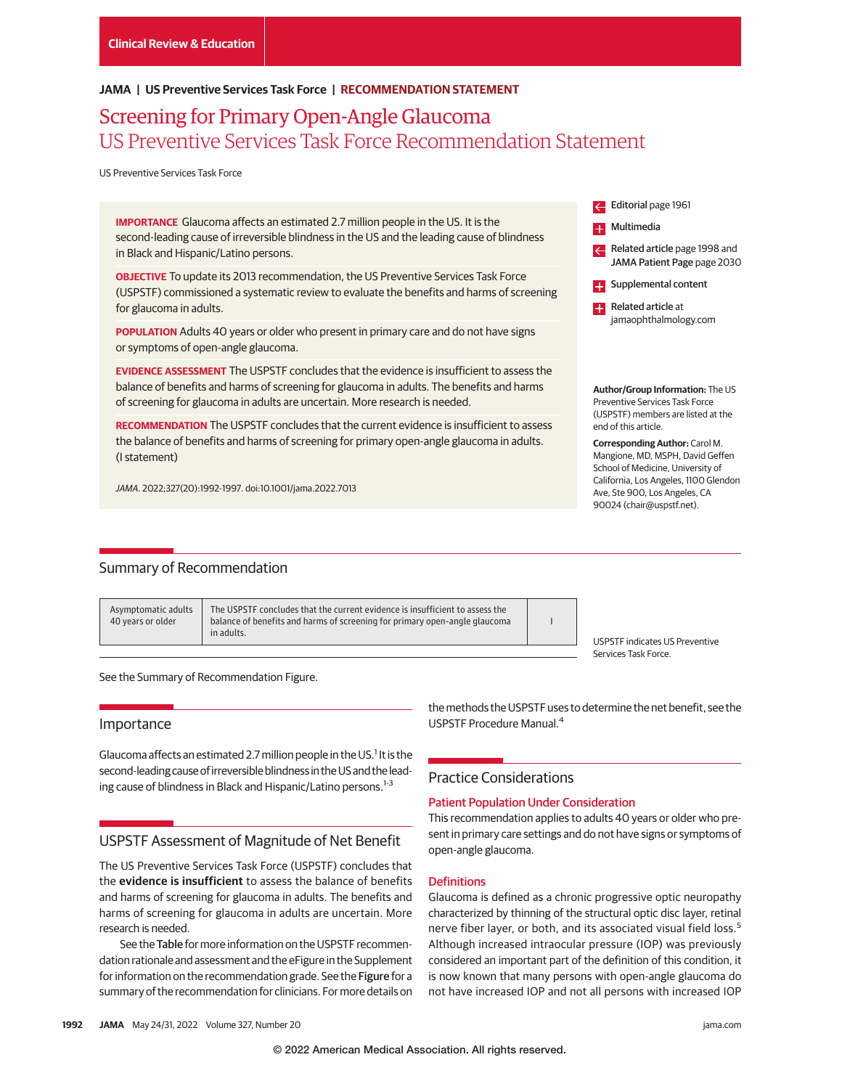## **JAMA | US Preventive Services Task Force | RECOMMENDATION STATEMENT**

# Screening for Primary Open-Angle Glaucoma US Preventive Services Task Force Recommendation Statement

US Preventive Services Task Force

**IMPORTANCE** Glaucoma affects an estimated 2.7 million people in the US. It is the second-leading cause of irreversible blindness in the US and the leading cause of blindness in Black and Hispanic/Latino persons.

**OBJECTIVE** To update its 2013 recommendation, the US Preventive Services Task Force (USPSTF) commissioned a systematic review to evaluate the benefits and harms of screening for glaucoma in adults.

**POPULATION** Adults 40 years or older who present in primary care and do not have signs or symptoms of open-angle glaucoma.

**EVIDENCE ASSESSMENT** The USPSTF concludes that the evidence is insufficient to assess the balance of benefits and harms of screening for glaucoma in adults. The benefits and harms of screening for glaucoma in adults are uncertain. More research is needed.

**RECOMMENDATION** The USPSTF concludes that the current evidence is insufficient to assess the balance of benefits and harms of screening for primary open-angle glaucoma in adults. (I statement)

JAMA. 2022;327(20):1992-1997. doi:10.1001/jama.2022.7013

## Summary of Recommendation

Asymptomatic adults 40 years or older

The USPSTF concludes that the current evidence is insufficient to assess the balance of benefits and harms of screening for primary open-angle glaucoma in adults.

I

USPSTF indicates US Preventive Services Task Force.

Editorial page 1961 Multimedia

H.

**EXT** Supplemental content **Related article at** jamaophthalmology.com

Related article page 1998 and JAMA Patient Page page 2030

**Author/Group Information:** The US Preventive Services Task Force (USPSTF) members are listed at the

**Corresponding Author:** Carol M. Mangione, MD, MSPH, David Geffen School of Medicine, University of California, Los Angeles, 1100 Glendon Ave, Ste 900, Los Angeles, CA 90024 (chair@uspstf.net).

end of this article.

See the Summary of Recommendation Figure.

### Importance

Glaucoma affects an estimated 2.7 million people in the US.<sup>1</sup> It is the second-leading cause of irreversible blindness in the US and the leading cause of blindness in Black and Hispanic/Latino persons.<sup>1-3</sup>

## USPSTF Assessment of Magnitude of Net Benefit

The US Preventive Services Task Force (USPSTF) concludes that the **evidence is insufficient** to assess the balance of benefits and harms of screening for glaucoma in adults. The benefits and harms of screening for glaucoma in adults are uncertain. More research is needed.

See the Table for more information on the USPSTF recommendation rationale and assessment and the eFigure in the Supplement for information on the recommendation grade. See the Figure for a summary of the recommendation for clinicians. For more details on the methods the USPSTF uses to determine the net benefit, see the USPSTF Procedure Manual.4

## Practice Considerations

## Patient Population Under Consideration

This recommendation applies to adults 40 years or older who present in primary care settings and do not have signs or symptoms of open-angle glaucoma.

#### **Definitions**

Glaucoma is defined as a chronic progressive optic neuropathy characterized by thinning of the structural optic disc layer, retinal nerve fiber layer, or both, and its associated visual field loss.<sup>5</sup> Although increased intraocular pressure (IOP) was previously considered an important part of the definition of this condition, it is now known that many persons with open-angle glaucoma do not have increased IOP and not all persons with increased IOP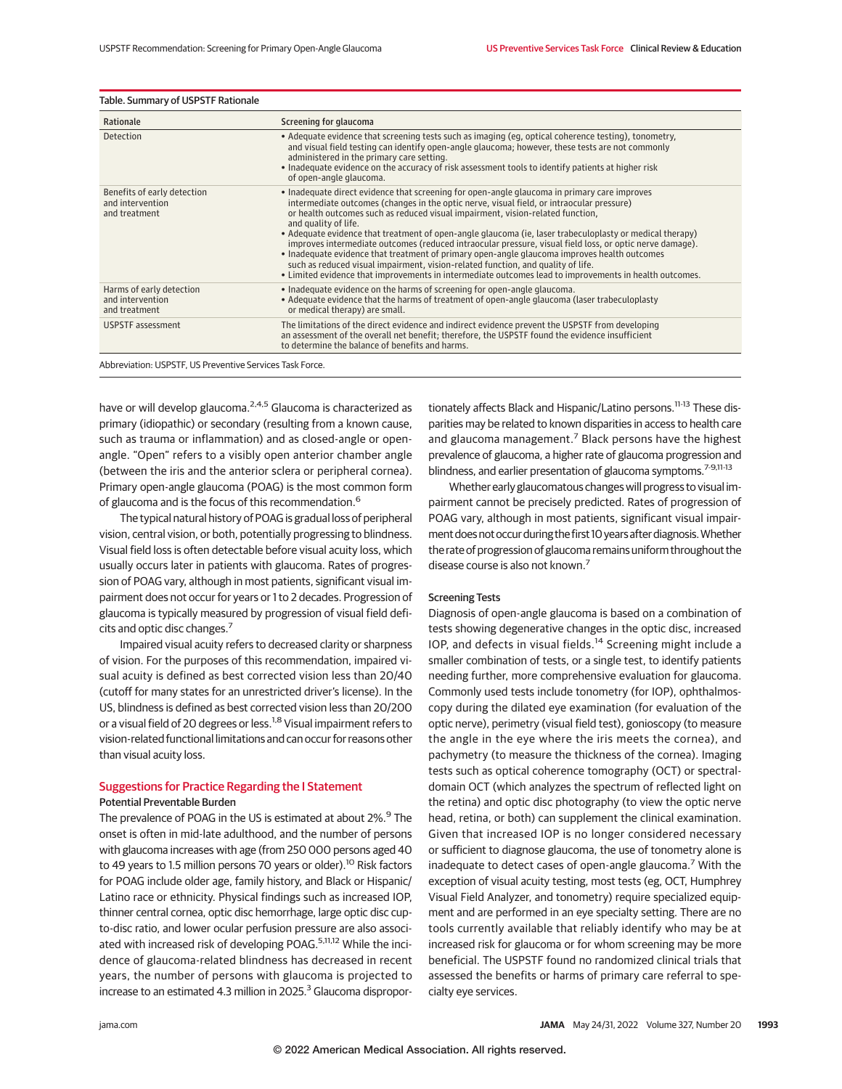| Rationale                                                        | Screening for glaucoma                                                                                                                                                                                                                                                                                                                                                                                                                                                                                                                                                                                                                                                                                                                                                                                                    |
|------------------------------------------------------------------|---------------------------------------------------------------------------------------------------------------------------------------------------------------------------------------------------------------------------------------------------------------------------------------------------------------------------------------------------------------------------------------------------------------------------------------------------------------------------------------------------------------------------------------------------------------------------------------------------------------------------------------------------------------------------------------------------------------------------------------------------------------------------------------------------------------------------|
| Detection                                                        | • Adequate evidence that screening tests such as imaging (eg, optical coherence testing), tonometry,<br>and visual field testing can identify open-angle glaucoma; however, these tests are not commonly<br>administered in the primary care setting.<br>• Inadequate evidence on the accuracy of risk assessment tools to identify patients at higher risk<br>of open-angle glaucoma.                                                                                                                                                                                                                                                                                                                                                                                                                                    |
| Benefits of early detection<br>and intervention<br>and treatment | • Inadequate direct evidence that screening for open-angle glaucoma in primary care improves<br>intermediate outcomes (changes in the optic nerve, visual field, or intraocular pressure)<br>or health outcomes such as reduced visual impairment, vision-related function,<br>and quality of life.<br>• Adequate evidence that treatment of open-angle glaucoma (ie, laser trabeculoplasty or medical therapy)<br>improves intermediate outcomes (reduced intraocular pressure, visual field loss, or optic nerve damage).<br>• Inadequate evidence that treatment of primary open-angle glaucoma improves health outcomes<br>such as reduced visual impairment, vision-related function, and quality of life.<br>. Limited evidence that improvements in intermediate outcomes lead to improvements in health outcomes. |
| Harms of early detection<br>and intervention<br>and treatment    | • Inadequate evidence on the harms of screening for open-angle glaucoma.<br>• Adequate evidence that the harms of treatment of open-angle glaucoma (laser trabeculoplasty<br>or medical therapy) are small.                                                                                                                                                                                                                                                                                                                                                                                                                                                                                                                                                                                                               |
| <b>USPSTF</b> assessment                                         | The limitations of the direct evidence and indirect evidence prevent the USPSTF from developing<br>an assessment of the overall net benefit; therefore, the USPSTF found the evidence insufficient<br>to determine the balance of benefits and harms.                                                                                                                                                                                                                                                                                                                                                                                                                                                                                                                                                                     |

have or will develop glaucoma.<sup>2,4,5</sup> Glaucoma is characterized as primary (idiopathic) or secondary (resulting from a known cause, such as trauma or inflammation) and as closed-angle or openangle. "Open" refers to a visibly open anterior chamber angle (between the iris and the anterior sclera or peripheral cornea). Primary open-angle glaucoma (POAG) is the most common form of glaucoma and is the focus of this recommendation.<sup>6</sup>

The typical natural history of POAG is gradual loss of peripheral vision, central vision, or both, potentially progressing to blindness. Visual field loss is often detectable before visual acuity loss, which usually occurs later in patients with glaucoma. Rates of progression of POAG vary, although in most patients, significant visual impairment does not occur for years or 1 to 2 decades. Progression of glaucoma is typically measured by progression of visual field deficits and optic disc changes.7

Impaired visual acuity refers to decreased clarity or sharpness of vision. For the purposes of this recommendation, impaired visual acuity is defined as best corrected vision less than 20/40 (cutoff for many states for an unrestricted driver's license). In the US, blindness is defined as best corrected vision less than 20/200 or a visual field of 20 degrees or less.<sup>1,8</sup> Visual impairment refers to vision-related functional limitations and can occur for reasons other than visual acuity loss.

## Suggestions for Practice Regarding the I Statement Potential Preventable Burden

The prevalence of POAG in the US is estimated at about 2%.<sup>9</sup> The onset is often in mid-late adulthood, and the number of persons with glaucoma increases with age (from 250 000 persons aged 40 to 49 years to 1.5 million persons 70 years or older).<sup>10</sup> Risk factors for POAG include older age, family history, and Black or Hispanic/ Latino race or ethnicity. Physical findings such as increased IOP, thinner central cornea, optic disc hemorrhage, large optic disc cupto-disc ratio, and lower ocular perfusion pressure are also associated with increased risk of developing POAG.<sup>5,11,12</sup> While the incidence of glaucoma-related blindness has decreased in recent years, the number of persons with glaucoma is projected to increase to an estimated 4.3 million in 2025. $3$  Glaucoma disproportionately affects Black and Hispanic/Latino persons.<sup>11-13</sup> These disparities may be related to known disparities in access to health care and glaucoma management. $<sup>7</sup>$  Black persons have the highest</sup> prevalence of glaucoma, a higher rate of glaucoma progression and blindness, and earlier presentation of glaucoma symptoms.<sup>7-9,11-13</sup>

Whether early glaucomatous changes will progress to visual impairment cannot be precisely predicted. Rates of progression of POAG vary, although in most patients, significant visual impairment does not occur during the first 10yearsafter diagnosis.Whether the rate of progression of glaucoma remains uniform throughout the disease course is also not known.<sup>7</sup>

#### Screening Tests

Diagnosis of open-angle glaucoma is based on a combination of tests showing degenerative changes in the optic disc, increased IOP, and defects in visual fields.<sup>14</sup> Screening might include a smaller combination of tests, or a single test, to identify patients needing further, more comprehensive evaluation for glaucoma. Commonly used tests include tonometry (for IOP), ophthalmoscopy during the dilated eye examination (for evaluation of the optic nerve), perimetry (visual field test), gonioscopy (to measure the angle in the eye where the iris meets the cornea), and pachymetry (to measure the thickness of the cornea). Imaging tests such as optical coherence tomography (OCT) or spectraldomain OCT (which analyzes the spectrum of reflected light on the retina) and optic disc photography (to view the optic nerve head, retina, or both) can supplement the clinical examination. Given that increased IOP is no longer considered necessary or sufficient to diagnose glaucoma, the use of tonometry alone is inadequate to detect cases of open-angle glaucoma.<sup>7</sup> With the exception of visual acuity testing, most tests (eg, OCT, Humphrey Visual Field Analyzer, and tonometry) require specialized equipment and are performed in an eye specialty setting. There are no tools currently available that reliably identify who may be at increased risk for glaucoma or for whom screening may be more beneficial. The USPSTF found no randomized clinical trials that assessed the benefits or harms of primary care referral to specialty eye services.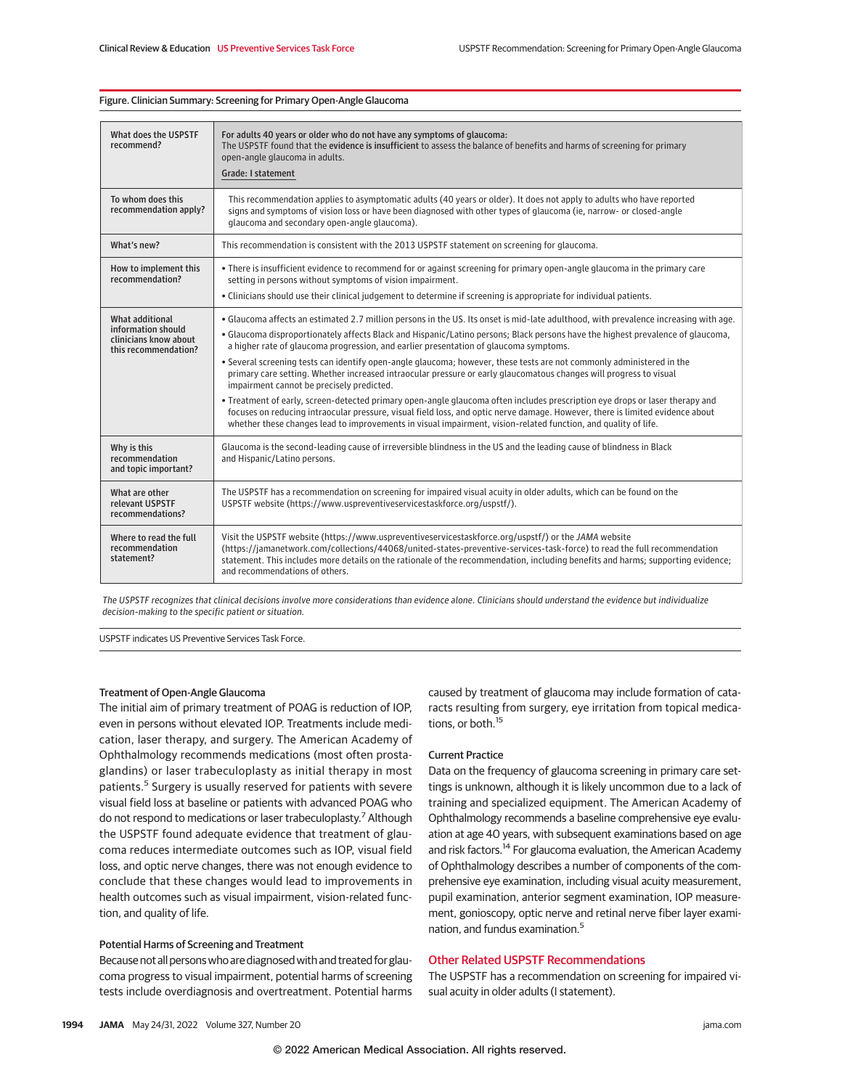#### Figure. Clinician Summary: Screening for Primary Open-Angle Glaucoma

| What does the USPSTF<br>recommend?                                                     | For adults 40 years or older who do not have any symptoms of glaucoma:<br>The USPSTF found that the evidence is insufficient to assess the balance of benefits and harms of screening for primary<br>open-angle glaucoma in adults.<br><b>Grade: I statement</b>                                                                                                                                                                                                                                                                                                                                                                                                                                                                                                                                                                                                                                                                                                                                                                                |
|----------------------------------------------------------------------------------------|-------------------------------------------------------------------------------------------------------------------------------------------------------------------------------------------------------------------------------------------------------------------------------------------------------------------------------------------------------------------------------------------------------------------------------------------------------------------------------------------------------------------------------------------------------------------------------------------------------------------------------------------------------------------------------------------------------------------------------------------------------------------------------------------------------------------------------------------------------------------------------------------------------------------------------------------------------------------------------------------------------------------------------------------------|
| To whom does this<br>recommendation apply?                                             | This recommendation applies to asymptomatic adults (40 years or older). It does not apply to adults who have reported<br>signs and symptoms of vision loss or have been diagnosed with other types of glaucoma (ie, narrow- or closed-angle<br>glaucoma and secondary open-angle glaucoma).                                                                                                                                                                                                                                                                                                                                                                                                                                                                                                                                                                                                                                                                                                                                                     |
| What's new?                                                                            | This recommendation is consistent with the 2013 USPSTF statement on screening for glaucoma.                                                                                                                                                                                                                                                                                                                                                                                                                                                                                                                                                                                                                                                                                                                                                                                                                                                                                                                                                     |
| How to implement this<br>recommendation?                                               | • There is insufficient evidence to recommend for or against screening for primary open-angle glaucoma in the primary care<br>setting in persons without symptoms of vision impairment.<br>. Clinicians should use their clinical judgement to determine if screening is appropriate for individual patients.                                                                                                                                                                                                                                                                                                                                                                                                                                                                                                                                                                                                                                                                                                                                   |
| What additional<br>information should<br>clinicians know about<br>this recommendation? | . Glaucoma affects an estimated 2.7 million persons in the US. Its onset is mid-late adulthood, with prevalence increasing with age.<br>• Glaucoma disproportionately affects Black and Hispanic/Latino persons; Black persons have the highest prevalence of glaucoma,<br>a higher rate of glaucoma progression, and earlier presentation of glaucoma symptoms.<br>. Several screening tests can identify open-angle glaucoma; however, these tests are not commonly administered in the<br>primary care setting. Whether increased intraocular pressure or early glaucomatous changes will progress to visual<br>impairment cannot be precisely predicted.<br>• Treatment of early, screen-detected primary open-angle glaucoma often includes prescription eye drops or laser therapy and<br>focuses on reducing intraocular pressure, visual field loss, and optic nerve damage. However, there is limited evidence about<br>whether these changes lead to improvements in visual impairment, vision-related function, and quality of life. |
| Why is this<br>recommendation<br>and topic important?                                  | Glaucoma is the second-leading cause of irreversible blindness in the US and the leading cause of blindness in Black<br>and Hispanic/Latino persons.                                                                                                                                                                                                                                                                                                                                                                                                                                                                                                                                                                                                                                                                                                                                                                                                                                                                                            |
| What are other<br>relevant USPSTF<br>recommendations?                                  | The USPSTF has a recommendation on screening for impaired visual acuity in older adults, which can be found on the<br>USPSTF website (https://www.uspreventiveservicestaskforce.org/uspstf/).                                                                                                                                                                                                                                                                                                                                                                                                                                                                                                                                                                                                                                                                                                                                                                                                                                                   |
| Where to read the full<br>recommendation<br>statement?                                 | Visit the USPSTF website (https://www.uspreventiveservicestaskforce.org/uspstf/) or the JAMA website<br>(https://jamanetwork.com/collections/44068/united-states-preventive-services-task-force) to read the full recommendation<br>statement. This includes more details on the rationale of the recommendation, including benefits and harms; supporting evidence;<br>and recommendations of others                                                                                                                                                                                                                                                                                                                                                                                                                                                                                                                                                                                                                                           |

*The USPSTF recognizes that clinical decisions involve more considerations than evidence alone. Clinicians should understand the evidence but individualize decision-making to the specific patient or situation.*

USPSTF indicates US Preventive Services Task Force.

#### Treatment of Open-Angle Glaucoma

The initial aim of primary treatment of POAG is reduction of IOP, even in persons without elevated IOP. Treatments include medication, laser therapy, and surgery. The American Academy of Ophthalmology recommends medications (most often prostaglandins) or laser trabeculoplasty as initial therapy in most patients.<sup>5</sup> Surgery is usually reserved for patients with severe visual field loss at baseline or patients with advanced POAG who do not respond to medications or laser trabeculoplasty.<sup>7</sup> Although the USPSTF found adequate evidence that treatment of glaucoma reduces intermediate outcomes such as IOP, visual field loss, and optic nerve changes, there was not enough evidence to conclude that these changes would lead to improvements in health outcomes such as visual impairment, vision-related function, and quality of life.

### Potential Harms of Screening and Treatment

Because not all personswho are diagnosedwith and treated for glaucoma progress to visual impairment, potential harms of screening tests include overdiagnosis and overtreatment. Potential harms

caused by treatment of glaucoma may include formation of cataracts resulting from surgery, eye irritation from topical medications, or both.15

### Current Practice

Data on the frequency of glaucoma screening in primary care settings is unknown, although it is likely uncommon due to a lack of training and specialized equipment. The American Academy of Ophthalmology recommends a baseline comprehensive eye evaluation at age 40 years, with subsequent examinations based on age and risk factors.<sup>14</sup> For glaucoma evaluation, the American Academy of Ophthalmology describes a number of components of the comprehensive eye examination, including visual acuity measurement, pupil examination, anterior segment examination, IOP measurement, gonioscopy, optic nerve and retinal nerve fiber layer examination, and fundus examination.5

### Other Related USPSTF Recommendations

The USPSTF has a recommendation on screening for impaired visual acuity in older adults (I statement).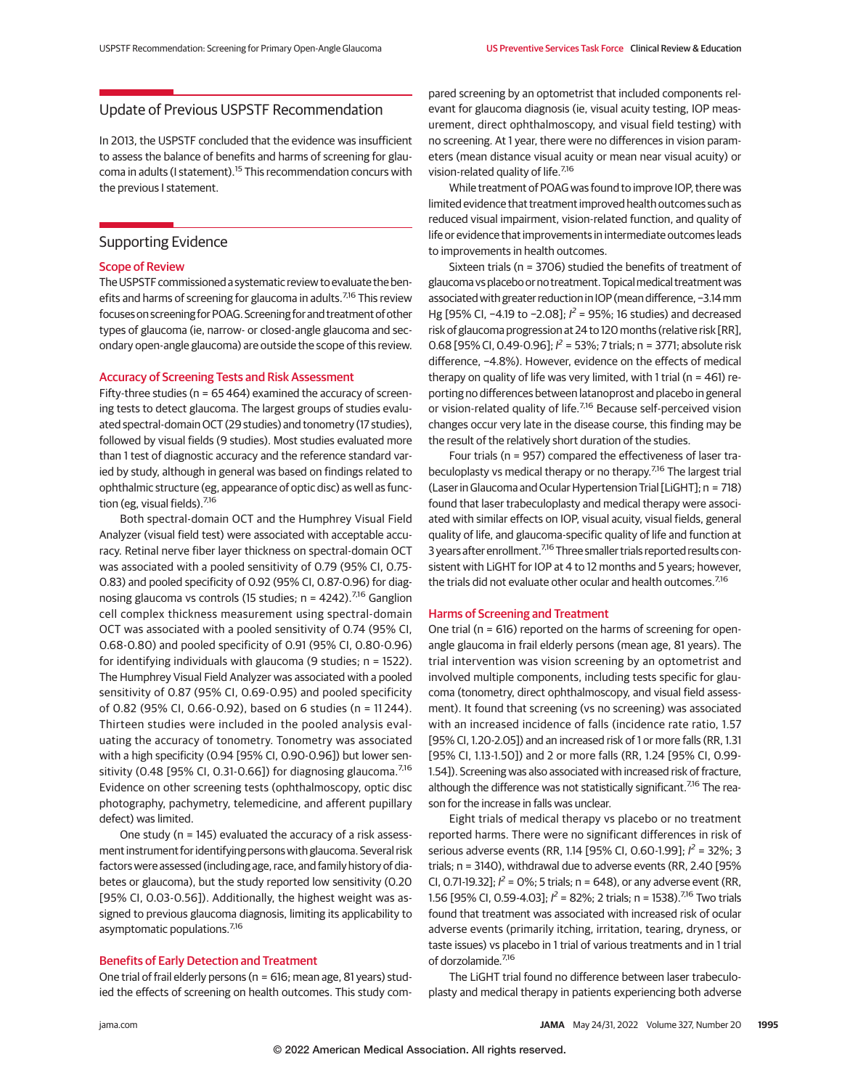# Update of Previous USPSTF Recommendation

In 2013, the USPSTF concluded that the evidence was insufficient to assess the balance of benefits and harms of screening for glaucoma in adults (I statement).<sup>15</sup> This recommendation concurs with the previous I statement.

## Supporting Evidence

#### Scope of Review

The USPSTF commissioned a systematic review to evaluate the benefits and harms of screening for glaucoma in adults.<sup>7,16</sup> This review focuses on screening for POAG. Screening for and treatment of other types of glaucoma (ie, narrow- or closed-angle glaucoma and secondary open-angle glaucoma) are outside the scope of this review.

#### Accuracy of Screening Tests and Risk Assessment

Fifty-three studies (n = 65 464) examined the accuracy of screening tests to detect glaucoma. The largest groups of studies evaluated spectral-domain OCT (29 studies) and tonometry (17 studies), followed by visual fields (9 studies). Most studies evaluated more than 1 test of diagnostic accuracy and the reference standard varied by study, although in general was based on findings related to ophthalmic structure (eg, appearance of optic disc) as well as function (eg, visual fields). $\frac{7}{16}$ 

Both spectral-domain OCT and the Humphrey Visual Field Analyzer (visual field test) were associated with acceptable accuracy. Retinal nerve fiber layer thickness on spectral-domain OCT was associated with a pooled sensitivity of 0.79 (95% CI, 0.75- 0.83) and pooled specificity of 0.92 (95% CI, 0.87-0.96) for diagnosing glaucoma vs controls (15 studies;  $n = 4242$ ).<sup>7,16</sup> Ganglion cell complex thickness measurement using spectral-domain OCT was associated with a pooled sensitivity of 0.74 (95% CI, 0.68-0.80) and pooled specificity of 0.91 (95% CI, 0.80-0.96) for identifying individuals with glaucoma (9 studies; n = 1522). The Humphrey Visual Field Analyzer was associated with a pooled sensitivity of 0.87 (95% CI, 0.69-0.95) and pooled specificity of 0.82 (95% CI, 0.66-0.92), based on 6 studies (n = 11 244). Thirteen studies were included in the pooled analysis evaluating the accuracy of tonometry. Tonometry was associated with a high specificity (0.94 [95% CI, 0.90-0.96]) but lower sensitivity (0.48 [95% CI, 0.31-0.66]) for diagnosing glaucoma.<sup>7,16</sup> Evidence on other screening tests (ophthalmoscopy, optic disc photography, pachymetry, telemedicine, and afferent pupillary defect) was limited.

One study (n = 145) evaluated the accuracy of a risk assessment instrument for identifying persons with glaucoma. Several risk factors were assessed (including age, race, and family history of diabetes or glaucoma), but the study reported low sensitivity (0.20 [95% CI, 0.03-0.56]). Additionally, the highest weight was assigned to previous glaucoma diagnosis, limiting its applicability to asymptomatic populations.<sup>7,16</sup>

#### Benefits of Early Detection and Treatment

One trial of frail elderly persons (n = 616; mean age, 81 years) studied the effects of screening on health outcomes. This study com-

pared screening by an optometrist that included components relevant for glaucoma diagnosis (ie, visual acuity testing, IOP measurement, direct ophthalmoscopy, and visual field testing) with no screening. At 1 year, there were no differences in vision parameters (mean distance visual acuity or mean near visual acuity) or vision-related quality of life.<sup>7,16</sup>

While treatment of POAG was found to improve IOP, there was limited evidence that treatment improved health outcomes such as reduced visual impairment, vision-related function, and quality of life or evidence that improvements in intermediate outcomes leads to improvements in health outcomes.

Sixteen trials (n = 3706) studied the benefits of treatment of glaucoma vs placebo or no treatment. Topical medical treatment was associated with greater reduction inIOP (mean difference, −3.14mm Hg [95% CI, -4.19 to -2.08];  $l^2$  = 95%; 16 studies) and decreased risk of glaucoma progression at 24 to 120 months (relative risk [RR], 0.68 [95% CI, 0.49-0.96];  $l^2$  = 53%; 7 trials; n = 3771; absolute risk difference, −4.8%). However, evidence on the effects of medical therapy on quality of life was very limited, with 1 trial ( $n = 461$ ) reporting no differences between latanoprost and placebo in general or vision-related quality of life.<sup>7,16</sup> Because self-perceived vision changes occur very late in the disease course, this finding may be the result of the relatively short duration of the studies.

Four trials (n = 957) compared the effectiveness of laser trabeculoplasty vs medical therapy or no therapy.<sup>7,16</sup> The largest trial (Laser in Glaucoma and Ocular Hypertension Trial [LiGHT]; n = 718) found that laser trabeculoplasty and medical therapy were associated with similar effects on IOP, visual acuity, visual fields, general quality of life, and glaucoma-specific quality of life and function at 3 years after enrollment.<sup>7,16</sup> Three smaller trials reported results consistent with LiGHT for IOP at 4 to 12 months and 5 years; however, the trials did not evaluate other ocular and health outcomes.<sup>7,16</sup>

#### Harms of Screening and Treatment

One trial (n = 616) reported on the harms of screening for openangle glaucoma in frail elderly persons (mean age, 81 years). The trial intervention was vision screening by an optometrist and involved multiple components, including tests specific for glaucoma (tonometry, direct ophthalmoscopy, and visual field assessment). It found that screening (vs no screening) was associated with an increased incidence of falls (incidence rate ratio, 1.57 [95% CI, 1.20-2.05]) and an increased risk of 1 or more falls (RR, 1.31 [95% CI, 1.13-1.50]) and 2 or more falls (RR, 1.24 [95% CI, 0.99- 1.54]). Screening was also associated with increased risk of fracture, although the difference was not statistically significant.<sup>7,16</sup> The reason for the increase in falls was unclear.

Eight trials of medical therapy vs placebo or no treatment reported harms. There were no significant differences in risk of serious adverse events (RR, 1.14 [95% CI, 0.60-1.99];  $l^2$  = 32%; 3 trials; n = 3140), withdrawal due to adverse events (RR, 2.40 [95% CI, 0.71-19.32];  $l^2 = 0\%$ ; 5 trials; n = 648), or any adverse event (RR, 1.56 [95% CI, 0.59-4.03];  $l^2$  = 82%; 2 trials; n = 1538).<sup>7,16</sup> Two trials found that treatment was associated with increased risk of ocular adverse events (primarily itching, irritation, tearing, dryness, or taste issues) vs placebo in 1 trial of various treatments and in 1 trial of dorzolamide.7,16

The LiGHT trial found no difference between laser trabeculoplasty and medical therapy in patients experiencing both adverse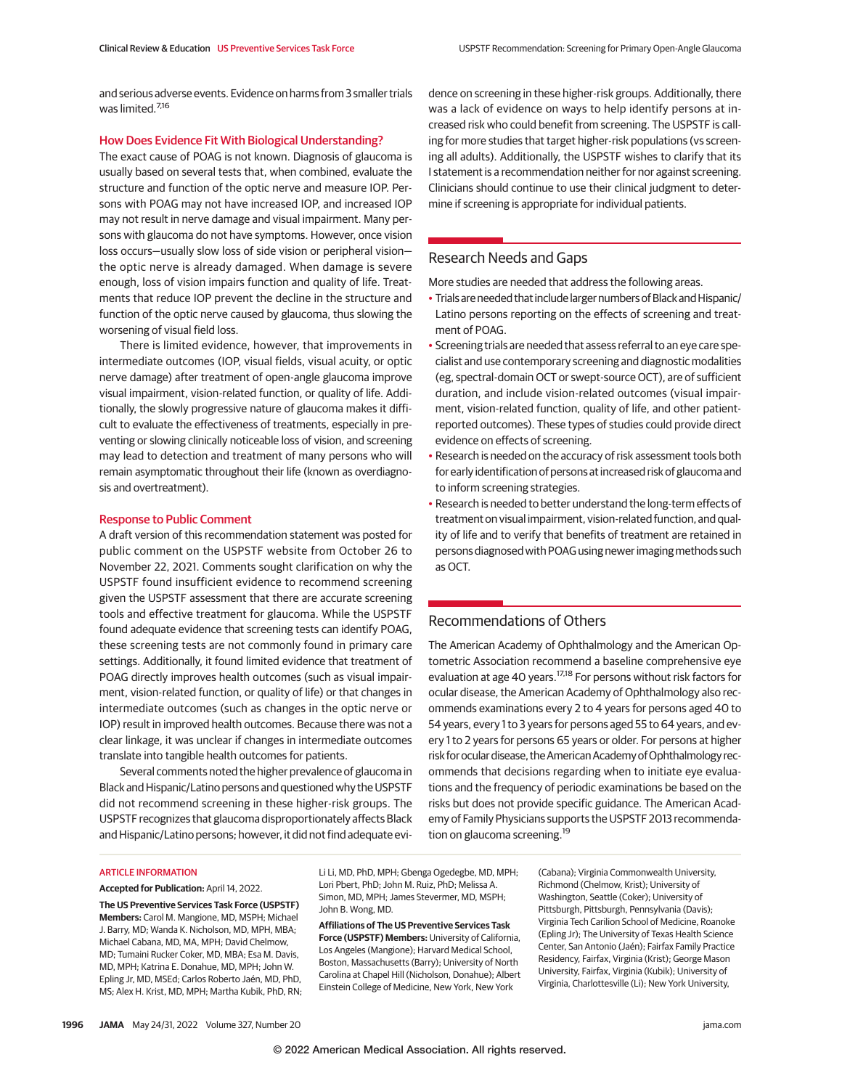and serious adverse events. Evidence on harms from 3 smaller trials was limited.<sup>7,16</sup>

#### How Does Evidence Fit With Biological Understanding?

The exact cause of POAG is not known. Diagnosis of glaucoma is usually based on several tests that, when combined, evaluate the structure and function of the optic nerve and measure IOP. Persons with POAG may not have increased IOP, and increased IOP may not result in nerve damage and visual impairment. Many persons with glaucoma do not have symptoms. However, once vision loss occurs—usually slow loss of side vision or peripheral vision the optic nerve is already damaged. When damage is severe enough, loss of vision impairs function and quality of life. Treatments that reduce IOP prevent the decline in the structure and function of the optic nerve caused by glaucoma, thus slowing the worsening of visual field loss.

There is limited evidence, however, that improvements in intermediate outcomes (IOP, visual fields, visual acuity, or optic nerve damage) after treatment of open-angle glaucoma improve visual impairment, vision-related function, or quality of life. Additionally, the slowly progressive nature of glaucoma makes it difficult to evaluate the effectiveness of treatments, especially in preventing or slowing clinically noticeable loss of vision, and screening may lead to detection and treatment of many persons who will remain asymptomatic throughout their life (known as overdiagnosis and overtreatment).

#### Response to Public Comment

A draft version of this recommendation statement was posted for public comment on the USPSTF website from October 26 to November 22, 2021. Comments sought clarification on why the USPSTF found insufficient evidence to recommend screening given the USPSTF assessment that there are accurate screening tools and effective treatment for glaucoma. While the USPSTF found adequate evidence that screening tests can identify POAG, these screening tests are not commonly found in primary care settings. Additionally, it found limited evidence that treatment of POAG directly improves health outcomes (such as visual impairment, vision-related function, or quality of life) or that changes in intermediate outcomes (such as changes in the optic nerve or IOP) result in improved health outcomes. Because there was not a clear linkage, it was unclear if changes in intermediate outcomes translate into tangible health outcomes for patients.

Several comments noted the higher prevalence of glaucoma in Black and Hispanic/Latino persons and questioned why the USPSTF did not recommend screening in these higher-risk groups. The USPSTF recognizes that glaucoma disproportionately affects Black and Hispanic/Latino persons; however, it did not find adequate evidence on screening in these higher-risk groups. Additionally, there was a lack of evidence on ways to help identify persons at increased risk who could benefit from screening. The USPSTF is calling for more studies that target higher-risk populations (vs screening all adults). Additionally, the USPSTF wishes to clarify that its I statement is a recommendation neither for nor against screening. Clinicians should continue to use their clinical judgment to determine if screening is appropriate for individual patients.

## Research Needs and Gaps

More studies are needed that address the following areas.

- Trials are needed that include larger numbers of Black and Hispanic/ Latino persons reporting on the effects of screening and treatment of POAG.
- Screening trials are needed that assess referral to an eye care specialist and use contemporary screening and diagnostic modalities (eg, spectral-domain OCT or swept-source OCT), are of sufficient duration, and include vision-related outcomes (visual impairment, vision-related function, quality of life, and other patientreported outcomes). These types of studies could provide direct evidence on effects of screening.
- Research is needed on the accuracy of risk assessment tools both for early identification of persons at increased risk of glaucoma and to inform screening strategies.
- Research is needed to better understand the long-term effects of treatment on visual impairment, vision-related function, and quality of life and to verify that benefits of treatment are retained in persons diagnosed with POAG using newer imaging methods such as OCT.

## Recommendations of Others

The American Academy of Ophthalmology and the American Optometric Association recommend a baseline comprehensive eye evaluation at age 40 years.<sup>17,18</sup> For persons without risk factors for ocular disease, the American Academy of Ophthalmology also recommends examinations every 2 to 4 years for persons aged 40 to 54 years, every 1 to 3 years for persons aged 55 to 64 years, and every 1 to 2 years for persons 65 years or older. For persons at higher risk for ocular disease, the American Academy of Ophthalmology recommends that decisions regarding when to initiate eye evaluations and the frequency of periodic examinations be based on the risks but does not provide specific guidance. The American Academy of Family Physicians supports the USPSTF 2013 recommendation on glaucoma screening.<sup>19</sup>

#### ARTICLE INFORMATION

**Accepted for Publication:** April 14, 2022.

**The US Preventive Services Task Force (USPSTF) Members:** Carol M. Mangione, MD, MSPH; Michael J. Barry, MD; Wanda K. Nicholson, MD, MPH, MBA; Michael Cabana, MD, MA, MPH; David Chelmow, MD; Tumaini Rucker Coker, MD, MBA; Esa M. Davis, MD, MPH; Katrina E. Donahue, MD, MPH; John W. Epling Jr, MD, MSEd; Carlos Roberto Jaén, MD, PhD, MS; Alex H. Krist, MD, MPH; Martha Kubik, PhD, RN; Li Li, MD, PhD, MPH; Gbenga Ogedegbe, MD, MPH; Lori Pbert, PhD; John M. Ruiz, PhD; Melissa A. Simon, MD, MPH; James Stevermer, MD, MSPH; John B. Wong, MD.

**Affiliations of The US Preventive Services Task Force (USPSTF) Members:** University of California, Los Angeles (Mangione); Harvard Medical School, Boston, Massachusetts (Barry); University of North Carolina at Chapel Hill (Nicholson, Donahue); Albert Einstein College of Medicine, New York, New York

(Cabana); Virginia Commonwealth University, Richmond (Chelmow, Krist); University of Washington, Seattle (Coker); University of Pittsburgh, Pittsburgh, Pennsylvania (Davis); Virginia Tech Carilion School of Medicine, Roanoke (Epling Jr); The University of Texas Health Science Center, San Antonio (Jaén); Fairfax Family Practice Residency, Fairfax, Virginia (Krist); George Mason University, Fairfax, Virginia (Kubik); University of Virginia, Charlottesville (Li); New York University,